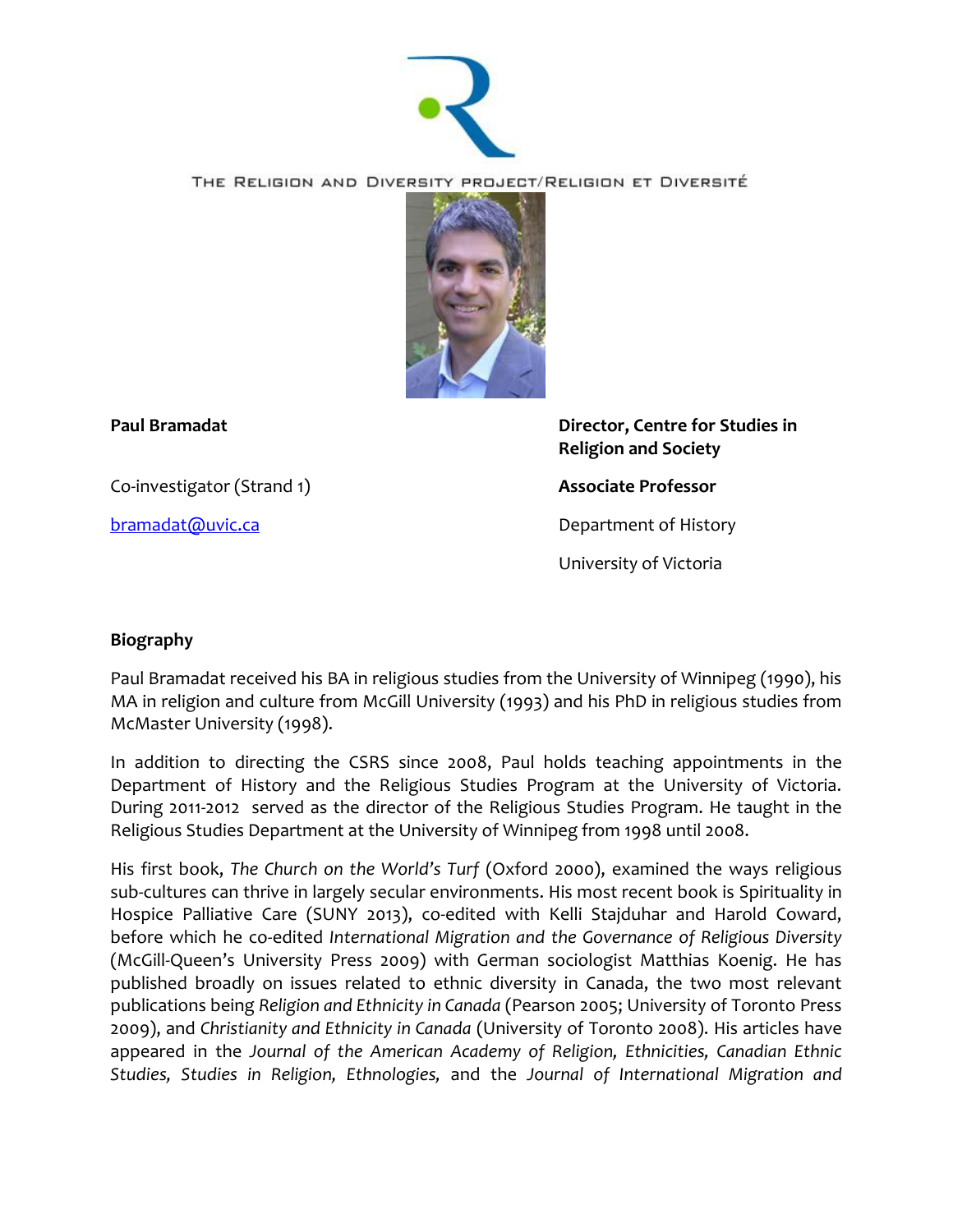

THE RELIGION AND DIVERSITY PROJECT/RELIGION ET DIVERSITÉ



Co-investigator (Strand 1) **Associate Professor**

**Paul Bramadat Director, Centre for Studies in Religion and Society**

**[bramadat@uvic.ca](mailto:bramadat@uvic.ca)** Department of History

University of Victoria

## **Biography**

Paul Bramadat received his BA in religious studies from the University of Winnipeg (1990), his MA in religion and culture from McGill University (1993) and his PhD in religious studies from McMaster University (1998).

In addition to directing the CSRS since 2008, Paul holds teaching appointments in the Department of History and the Religious Studies Program at the University of Victoria. During 2011-2012 served as the director of the Religious Studies Program. He taught in the Religious Studies Department at the University of Winnipeg from 1998 until 2008.

His first book, *The Church on the World's Turf* (Oxford 2000), examined the ways religious sub-cultures can thrive in largely secular environments. His most recent book is Spirituality in Hospice Palliative Care (SUNY 2013), co-edited with Kelli Stajduhar and Harold Coward, before which he co-edited *International Migration and the Governance of Religious Diversity* (McGill-Queen's University Press 2009) with German sociologist Matthias Koenig. He has published broadly on issues related to ethnic diversity in Canada, the two most relevant publications being *Religion and Ethnicity in Canada* (Pearson 2005; University of Toronto Press 2009), and *Christianity and Ethnicity in Canada* (University of Toronto 2008). His articles have appeared in the *Journal of the American Academy of Religion, Ethnicities, Canadian Ethnic Studies, Studies in Religion, Ethnologies,* and the *Journal of International Migration and*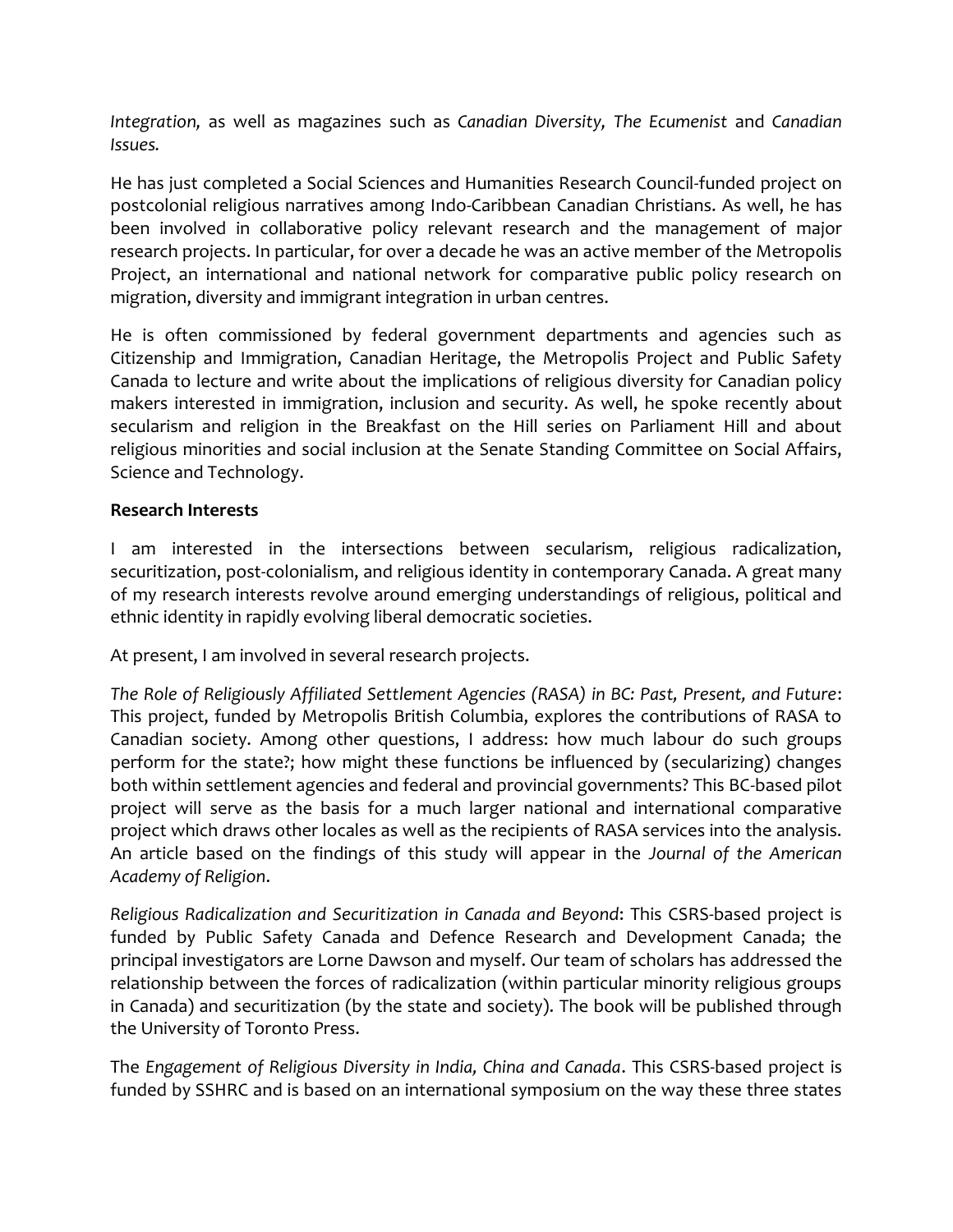*Integration,* as well as magazines such as *Canadian Diversity, The Ecumenist* and *Canadian Issues.*

He has just completed a Social Sciences and Humanities Research Council-funded project on postcolonial religious narratives among Indo-Caribbean Canadian Christians. As well, he has been involved in collaborative policy relevant research and the management of major research projects. In particular, for over a decade he was an active member of the Metropolis Project, an international and national network for comparative public policy research on migration, diversity and immigrant integration in urban centres.

He is often commissioned by federal government departments and agencies such as Citizenship and Immigration, Canadian Heritage, the Metropolis Project and Public Safety Canada to lecture and write about the implications of religious diversity for Canadian policy makers interested in immigration, inclusion and security. As well, he spoke recently about secularism and religion in the Breakfast on the Hill series on Parliament Hill and about religious minorities and social inclusion at the Senate Standing Committee on Social Affairs, Science and Technology.

## **Research Interests**

I am interested in the intersections between secularism, religious radicalization, securitization, post-colonialism, and religious identity in contemporary Canada. A great many of my research interests revolve around emerging understandings of religious, political and ethnic identity in rapidly evolving liberal democratic societies.

At present, I am involved in several research projects.

*The Role of Religiously Affiliated Settlement Agencies (RASA) in BC: Past, Present, and Future*: This project, funded by Metropolis British Columbia, explores the contributions of RASA to Canadian society. Among other questions, I address: how much labour do such groups perform for the state?; how might these functions be influenced by (secularizing) changes both within settlement agencies and federal and provincial governments? This BC-based pilot project will serve as the basis for a much larger national and international comparative project which draws other locales as well as the recipients of RASA services into the analysis. An article based on the findings of this study will appear in the *Journal of the American Academy of Religion*.

*Religious Radicalization and Securitization in Canada and Beyond*: This CSRS-based project is funded by Public Safety Canada and Defence Research and Development Canada; the principal investigators are Lorne Dawson and myself. Our team of scholars has addressed the relationship between the forces of radicalization (within particular minority religious groups in Canada) and securitization (by the state and society). The book will be published through the University of Toronto Press.

The *Engagement of Religious Diversity in India, China and Canada*. This CSRS-based project is funded by SSHRC and is based on an international symposium on the way these three states